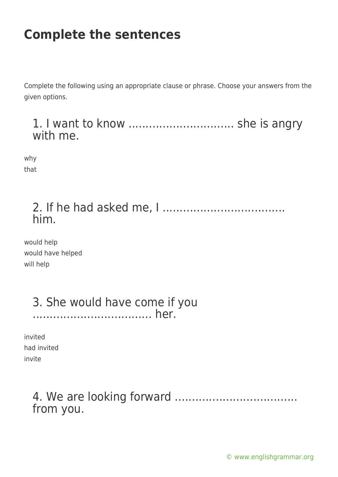Complete the following using an appropriate clause or phrase. Choose your answers from the given options.

#### 1. I want to know ................................... she is angry with me.

why that

### 2. If he had asked me, I .................................... him.

would help would have helped will help

#### 3. She would have come if you ................................... her.

| invited |             |
|---------|-------------|
|         | had invited |
| invite  |             |

### 4. We are looking forward .................................... from you.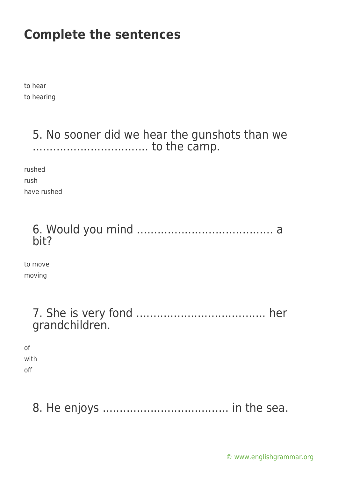to hear to hearing

### 5. No sooner did we hear the gunshots than we .................................. to the camp.

rushed rush have rushed

### 6. Would you mind ........................................ a bit?

to move moving

#### 7. She is very fond ...................................... her grandchildren.

of with off

# 8. He enjoys ..................................... in the sea.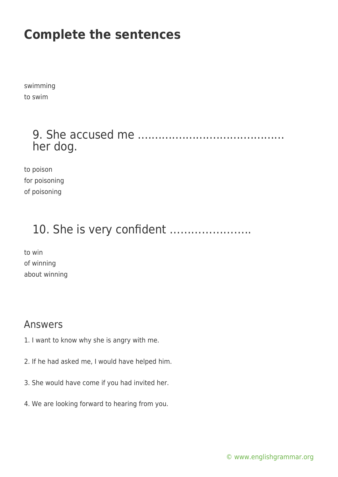swimming to swim

### 9. She accused me ........................................... her dog.

to poison for poisoning of poisoning

### 10. She is very confident …………………..

to win of winning about winning

#### Answers

- 1. I want to know why she is angry with me.
- 2. If he had asked me, I would have helped him.
- 3. She would have come if you had invited her.
- 4. We are looking forward to hearing from you.